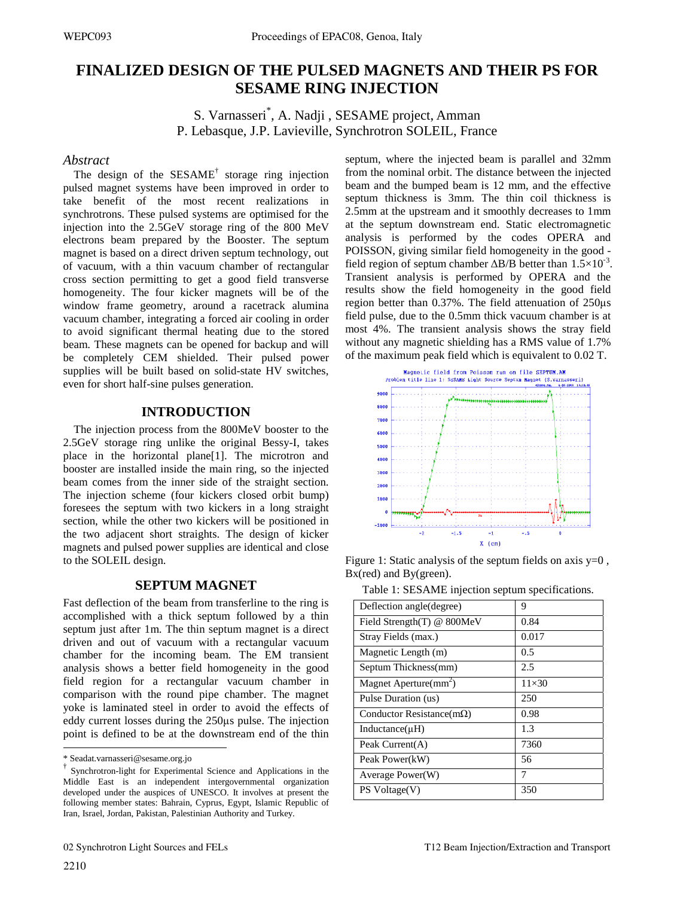# **FINALIZED DESIGN OF THE PULSED MAGNETS AND THEIR PS FOR SESAME RING INJECTION**

S. Varnasseri\* , A. Nadji , SESAME project, Amman P. Lebasque, J.P. Lavieville, Synchrotron SOLEIL, France

#### *Abstract*

The design of the  $SESAME^{\dagger}$  storage ring injection pulsed magnet systems have been improved in order to take benefit of the most recent realizations in synchrotrons. These pulsed systems are optimised for the injection into the 2.5GeV storage ring of the 800 MeV electrons beam prepared by the Booster. The septum magnet is based on a direct driven septum technology, out of vacuum, with a thin vacuum chamber of rectangular cross section permitting to get a good field transverse homogeneity. The four kicker magnets will be of the window frame geometry, around a racetrack alumina vacuum chamber, integrating a forced air cooling in order to avoid significant thermal heating due to the stored beam. These magnets can be opened for backup and will be completely CEM shielded. Their pulsed power supplies will be built based on solid-state HV switches, even for short half-sine pulses generation.

#### **INTRODUCTION**

The injection process from the 800MeV booster to the 2.5GeV storage ring unlike the original Bessy-I, takes place in the horizontal plane[1]. The microtron and booster are installed inside the main ring, so the injected beam comes from the inner side of the straight section. The injection scheme (four kickers closed orbit bump) foresees the septum with two kickers in a long straight section, while the other two kickers will be positioned in the two adjacent short straights. The design of kicker magnets and pulsed power supplies are identical and close to the SOLEIL design.

## **SEPTUM MAGNET**

Fast deflection of the beam from transferline to the ring is accomplished with a thick septum followed by a thin septum just after 1m. The thin septum magnet is a direct driven and out of vacuum with a rectangular vacuum chamber for the incoming beam. The EM transient analysis shows a better field homogeneity in the good field region for a rectangular vacuum chamber in comparison with the round pipe chamber. The magnet yoke is laminated steel in order to avoid the effects of eddy current losses during the 250μs pulse. The injection point is defined to be at the downstream end of the thin septum, where the injected beam is parallel and 32mm from the nominal orbit. The distance between the injected beam and the bumped beam is 12 mm, and the effective septum thickness is 3mm. The thin coil thickness is 2.5mm at the upstream and it smoothly decreases to 1mm at the septum downstream end. Static electromagnetic analysis is performed by the codes OPERA and POISSON, giving similar field homogeneity in the good field region of septum chamber  $\Delta B/B$  better than  $1.5 \times 10^{-3}$ . Transient analysis is performed by OPERA and the results show the field homogeneity in the good field region better than 0.37%. The field attenuation of 250μs field pulse, due to the 0.5mm thick vacuum chamber is at most 4%. The transient analysis shows the stray field without any magnetic shielding has a RMS value of 1.7% of the maximum peak field which is equivalent to 0.02 T.



Figure 1: Static analysis of the septum fields on axis  $y=0$ , Bx(red) and By(green).

| Table 1: SESAME injection septum specifications. |  |  |
|--------------------------------------------------|--|--|
|                                                  |  |  |

| Deflection angle (degree)         | 9            |
|-----------------------------------|--------------|
| Field Strength(T) @ 800MeV        | 0.84         |
| Stray Fields (max.)               | 0.017        |
| Magnetic Length (m)               | 0.5          |
| Septum Thickness(mm)              | 2.5          |
| Magnet Aperture(mm <sup>2</sup> ) | $11\times30$ |
| Pulse Duration (us)               | 250          |
| Conductor Resistance(m $\Omega$ ) | 0.98         |
| Inductance( $\mu$ H)              | 1.3          |
| Peak $Current(A)$                 | 7360         |
| Peak Power(kW)                    | 56           |
| Average Power(W)                  | 7            |
| PS Voltage(V)                     | 350          |

 $\overline{a}$ 

<sup>\*</sup> Seadat.varnasseri@sesame.org.jo

<sup>†</sup> Synchrotron-light for Experimental Science and Applications in the Middle East is an independent intergovernmental organization developed under the auspices of UNESCO. It involves at present the following member states: Bahrain, Cyprus, Egypt, Islamic Republic of Iran, Israel, Jordan, Pakistan, Palestinian Authority and Turkey.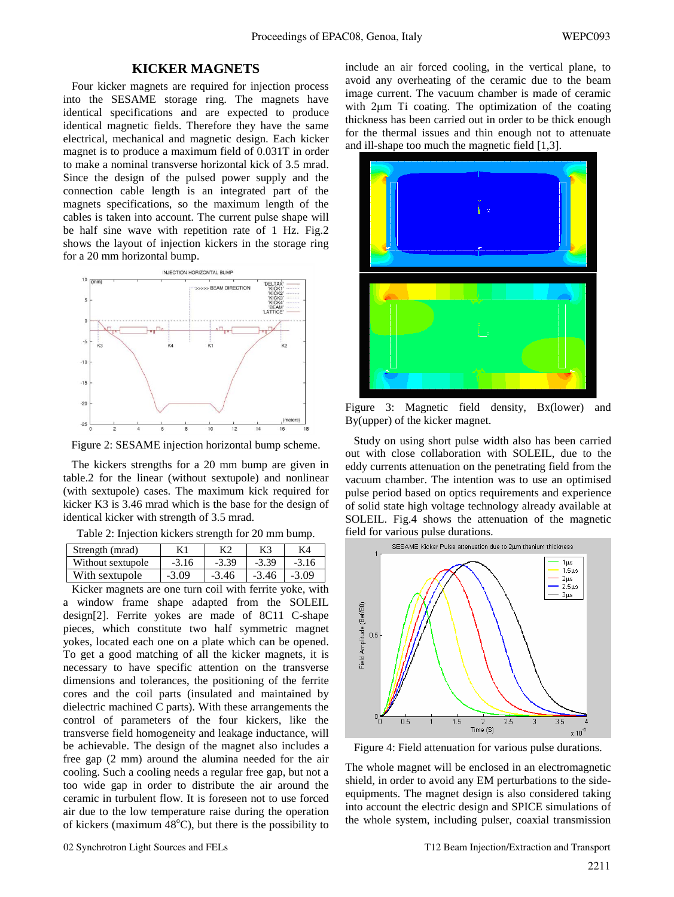## **KICKER MAGNETS**

 Four kicker magnets are required for injection process into the SESAME storage ring. The magnets have identical specifications and are expected to produce identical magnetic fields. Therefore they have the same electrical, mechanical and magnetic design. Each kicker magnet is to produce a maximum field of 0.031T in order to make a nominal transverse horizontal kick of 3.5 mrad. Since the design of the pulsed power supply and the connection cable length is an integrated part of the magnets specifications, so the maximum length of the cables is taken into account. The current pulse shape will be half sine wave with repetition rate of 1 Hz. Fig.2 shows the layout of injection kickers in the storage ring for a 20 mm horizontal bump.



Figure 2: SESAME injection horizontal bump scheme.

 The kickers strengths for a 20 mm bump are given in table.2 for the linear (without sextupole) and nonlinear (with sextupole) cases. The maximum kick required for kicker K3 is 3.46 mrad which is the base for the design of identical kicker with strength of 3.5 mrad.

|  | Table 2: Injection kickers strength for 20 mm bump. |
|--|-----------------------------------------------------|
|  |                                                     |

| Strength (mrad)   |         |         |         | K4      |
|-------------------|---------|---------|---------|---------|
| Without sextupole | $-3.16$ | $-3.39$ | $-3.39$ | $-3.16$ |
| With sextupole    | $-3.09$ | $-3.46$ | $-3.46$ | $-3.09$ |

 Kicker magnets are one turn coil with ferrite yoke, with a window frame shape adapted from the SOLEIL design[2]. Ferrite yokes are made of 8C11 C-shape pieces, which constitute two half symmetric magnet yokes, located each one on a plate which can be opened. To get a good matching of all the kicker magnets, it is necessary to have specific attention on the transverse dimensions and tolerances, the positioning of the ferrite cores and the coil parts (insulated and maintained by dielectric machined C parts). With these arrangements the control of parameters of the four kickers, like the transverse field homogeneity and leakage inductance, will be achievable. The design of the magnet also includes a free gap (2 mm) around the alumina needed for the air cooling. Such a cooling needs a regular free gap, but not a too wide gap in order to distribute the air around the ceramic in turbulent flow. It is foreseen not to use forced air due to the low temperature raise during the operation of kickers (maximum  $\overline{48}^{\circ}$ C), but there is the possibility to include an air forced cooling, in the vertical plane, to avoid any overheating of the ceramic due to the beam image current. The vacuum chamber is made of ceramic with 2μm Ti coating. The optimization of the coating thickness has been carried out in order to be thick enough for the thermal issues and thin enough not to attenuate and ill-shape too much the magnetic field [1,3].



Figure 3: Magnetic field density, Bx(lower) and By(upper) of the kicker magnet.

 Study on using short pulse width also has been carried out with close collaboration with SOLEIL, due to the eddy currents attenuation on the penetrating field from the vacuum chamber. The intention was to use an optimised pulse period based on optics requirements and experience of solid state high voltage technology already available at SOLEIL. Fig.4 shows the attenuation of the magnetic field for various pulse durations.



Figure 4: Field attenuation for various pulse durations.

The whole magnet will be enclosed in an electromagnetic shield, in order to avoid any EM perturbations to the sideequipments. The magnet design is also considered taking into account the electric design and SPICE simulations of the whole system, including pulser, coaxial transmission